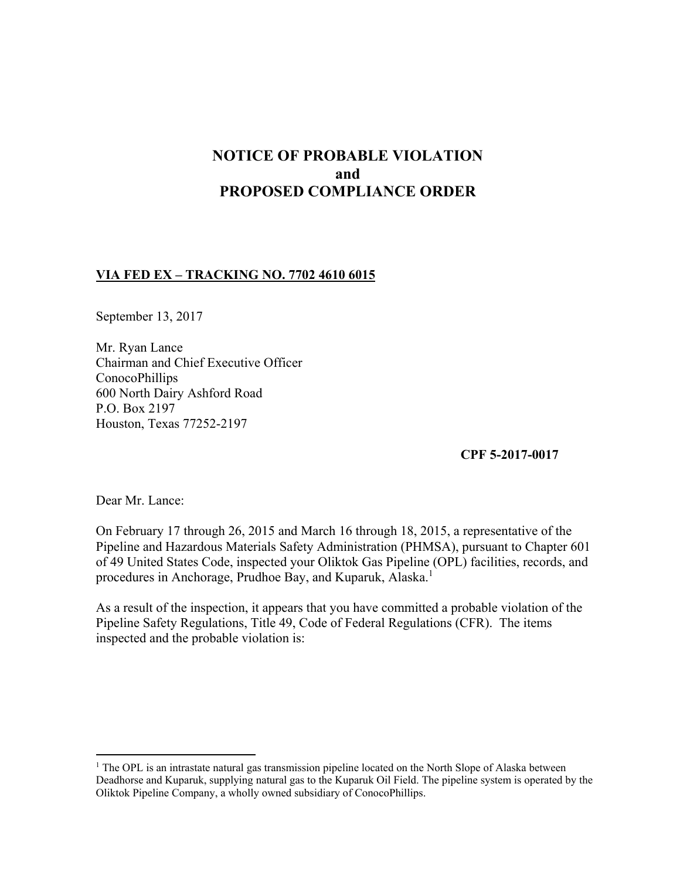# **NOTICE OF PROBABLE VIOLATION and PROPOSED COMPLIANCE ORDER**

## **VIA FED EX – TRACKING NO. 7702 4610 6015**

September 13, 2017

Mr. Ryan Lance Chairman and Chief Executive Officer ConocoPhillips 600 North Dairy Ashford Road P.O. Box 2197 Houston, Texas 77252-2197

**CPF 5-2017-0017**

Dear Mr. Lance:

 $\overline{a}$ 

On February 17 through 26, 2015 and March 16 through 18, 2015, a representative of the Pipeline and Hazardous Materials Safety Administration (PHMSA), pursuant to Chapter 601 of 49 United States Code, inspected your Oliktok Gas Pipeline (OPL) facilities, records, and procedures in Anchorage, Prudhoe Bay, and Kuparuk, Alaska.<sup>1</sup>

As a result of the inspection, it appears that you have committed a probable violation of the Pipeline Safety Regulations, Title 49, Code of Federal Regulations (CFR). The items inspected and the probable violation is:

<sup>&</sup>lt;sup>1</sup> The OPL is an intrastate natural gas transmission pipeline located on the North Slope of Alaska between Deadhorse and Kuparuk, supplying natural gas to the Kuparuk Oil Field. The pipeline system is operated by the Oliktok Pipeline Company, a wholly owned subsidiary of ConocoPhillips.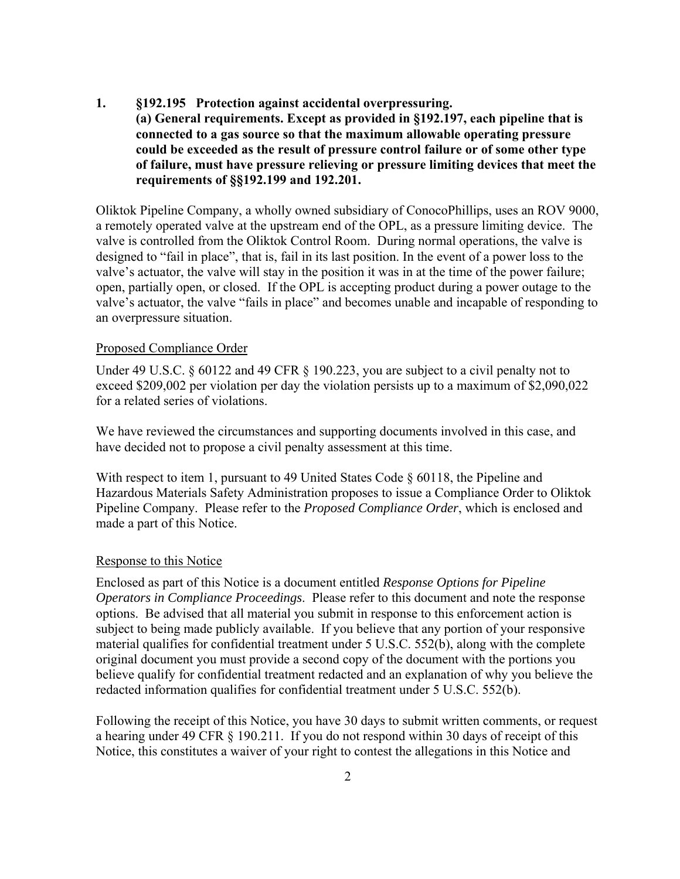**1. §192.195 Protection against accidental overpressuring. (a) General requirements. Except as provided in §192.197, each pipeline that is connected to a gas source so that the maximum allowable operating pressure could be exceeded as the result of pressure control failure or of some other type of failure, must have pressure relieving or pressure limiting devices that meet the requirements of §§192.199 and 192.201.** 

Oliktok Pipeline Company, a wholly owned subsidiary of ConocoPhillips, uses an ROV 9000, a remotely operated valve at the upstream end of the OPL, as a pressure limiting device. The valve is controlled from the Oliktok Control Room. During normal operations, the valve is designed to "fail in place", that is, fail in its last position. In the event of a power loss to the valve's actuator, the valve will stay in the position it was in at the time of the power failure; open, partially open, or closed. If the OPL is accepting product during a power outage to the valve's actuator, the valve "fails in place" and becomes unable and incapable of responding to an overpressure situation.

#### Proposed Compliance Order

Under 49 U.S.C. § 60122 and 49 CFR § 190.223, you are subject to a civil penalty not to exceed \$209,002 per violation per day the violation persists up to a maximum of \$2,090,022 for a related series of violations.

We have reviewed the circumstances and supporting documents involved in this case, and have decided not to propose a civil penalty assessment at this time.

With respect to item 1, pursuant to 49 United States Code § 60118, the Pipeline and Hazardous Materials Safety Administration proposes to issue a Compliance Order to Oliktok Pipeline Company. Please refer to the *Proposed Compliance Order*, which is enclosed and made a part of this Notice.

#### Response to this Notice

Enclosed as part of this Notice is a document entitled *Response Options for Pipeline Operators in Compliance Proceedings*. Please refer to this document and note the response options. Be advised that all material you submit in response to this enforcement action is subject to being made publicly available. If you believe that any portion of your responsive material qualifies for confidential treatment under 5 U.S.C. 552(b), along with the complete original document you must provide a second copy of the document with the portions you believe qualify for confidential treatment redacted and an explanation of why you believe the redacted information qualifies for confidential treatment under 5 U.S.C. 552(b).

Following the receipt of this Notice, you have 30 days to submit written comments, or request a hearing under 49 CFR § 190.211. If you do not respond within 30 days of receipt of this Notice, this constitutes a waiver of your right to contest the allegations in this Notice and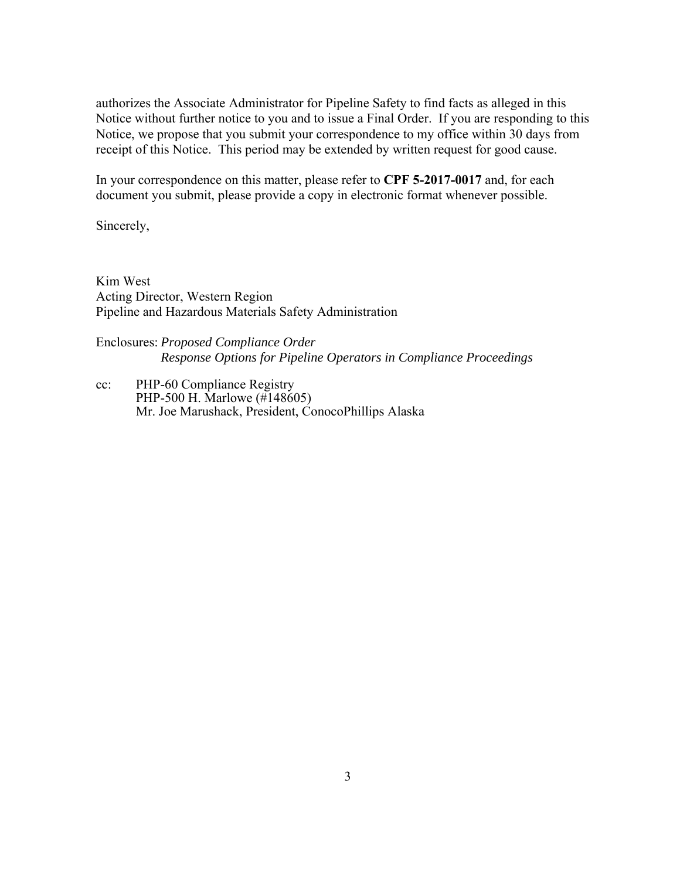authorizes the Associate Administrator for Pipeline Safety to find facts as alleged in this Notice without further notice to you and to issue a Final Order. If you are responding to this Notice, we propose that you submit your correspondence to my office within 30 days from receipt of this Notice. This period may be extended by written request for good cause.

In your correspondence on this matter, please refer to **CPF 5-2017-0017** and, for each document you submit, please provide a copy in electronic format whenever possible.

Sincerely,

Kim West Acting Director, Western Region Pipeline and Hazardous Materials Safety Administration

### Enclosures: *Proposed Compliance Order Response Options for Pipeline Operators in Compliance Proceedings*

cc: PHP-60 Compliance Registry PHP-500 H. Marlowe (#148605) Mr. Joe Marushack, President, ConocoPhillips Alaska